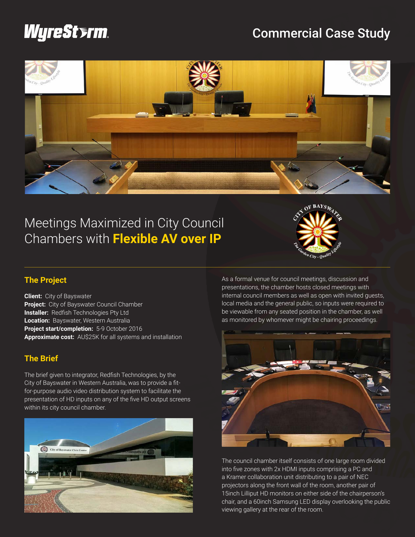# *WyreSterm*

# Commercial Case Study



# Meetings Maximized in City Council Chambers with **Flexible AV over IP**



## **The Project**

**Client:** City of Bayswater **Project:** City of Bayswater Council Chamber **Installer:** Redfish Technologies Pty Ltd **Location:** Bayswater, Western Australia **Project start/completion:** 5-9 October 2016 **Approximate cost:** AU\$25K for all systems and installation

### **The Brief**

The brief given to integrator, Redfish Technologies, by the City of Bayswater in Western Australia, was to provide a fitfor-purpose audio video distribution system to facilitate the presentation of HD inputs on any of the five HD output screens within its city council chamber.



As a formal venue for council meetings, discussion and presentations, the chamber hosts closed meetings with internal council members as well as open with invited guests, local media and the general public, so inputs were required to be viewable from any seated position in the chamber, as well as monitored by whomever might be chairing proceedings.



The council chamber itself consists of one large room divided into five zones with 2x HDMI inputs comprising a PC and a Kramer collaboration unit distributing to a pair of NEC projectors along the front wall of the room, another pair of 15inch Lilliput HD monitors on either side of the chairperson's chair, and a 60inch Samsung LED display overlooking the public viewing gallery at the rear of the room.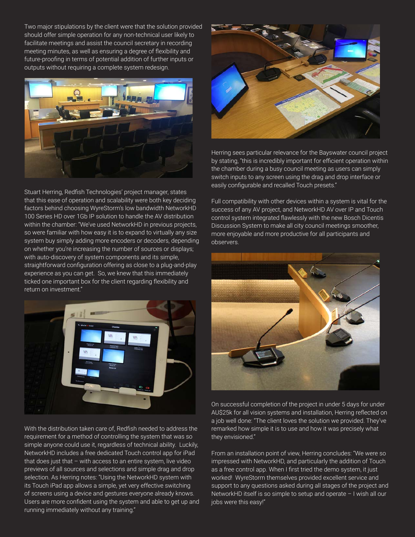Two major stipulations by the client were that the solution provided should offer simple operation for any non-technical user likely to facilitate meetings and assist the council secretary in recording meeting minutes, as well as ensuring a degree of flexibility and future-proofing in terms of potential addition of further inputs or outputs without requiring a complete system redesign.



Stuart Herring, Redfish Technologies' project manager, states that this ease of operation and scalability were both key deciding factors behind choosing WyreStorm's low bandwidth NetworkHD 100 Series HD over 1Gb IP solution to handle the AV distribution within the chamber: "We've used NetworkHD in previous projects, so were familiar with how easy it is to expand to virtually any size system buy simply adding more encoders or decoders, depending on whether you're increasing the number of sources or displays; with auto-discovery of system components and its simple, straightforward configuration offering as close to a plug-and-play experience as you can get. So, we knew that this immediately ticked one important box for the client regarding flexibility and return on investment."



With the distribution taken care of, Redfish needed to address the requirement for a method of controlling the system that was so simple anyone could use it, regardless of technical ability. Luckily, NetworkHD includes a free dedicated Touch control app for iPad that does just that – with access to an entire system, live video previews of all sources and selections and simple drag and drop selection. As Herring notes: "Using the NetworkHD system with its Touch iPad app allows a simple, yet very effective switching of screens using a device and gestures everyone already knows. Users are more confident using the system and able to get up and running immediately without any training."



Herring sees particular relevance for the Bayswater council project by stating, "this is incredibly important for efficient operation within the chamber during a busy council meeting as users can simply switch inputs to any screen using the drag and drop interface or easily configurable and recalled Touch presets."

Full compatibility with other devices within a system is vital for the success of any AV project, and NetworkHD AV over IP and Touch control system integrated flawlessly with the new Bosch Dicentis Discussion System to make all city council meetings smoother, more enjoyable and more productive for all participants and observers.



On successful completion of the project in under 5 days for under AU\$25k for all vision systems and installation, Herring reflected on a job well done: "The client loves the solution we provided. They've remarked how simple it is to use and how it was precisely what they envisioned."

From an installation point of view, Herring concludes: "We were so impressed with NetworkHD, and particularly the addition of Touch as a free control app. When I first tried the demo system, it just worked! WyreStorm themselves provided excellent service and support to any questions asked during all stages of the project and NetworkHD itself is so simple to setup and operate – I wish all our jobs were this easy!"